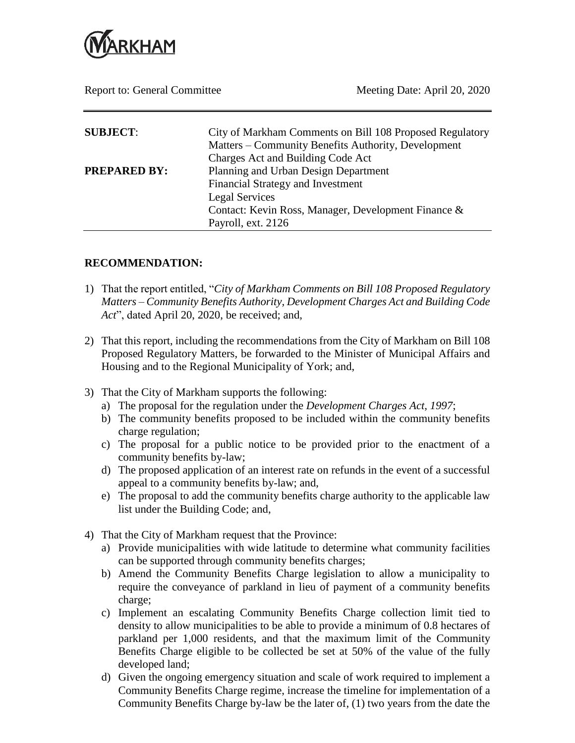

Report to: General Committee Meeting Date: April 20, 2020

| <b>SUBJECT:</b>     | City of Markham Comments on Bill 108 Proposed Regulatory<br>Matters – Community Benefits Authority, Development<br>Charges Act and Building Code Act                            |
|---------------------|---------------------------------------------------------------------------------------------------------------------------------------------------------------------------------|
| <b>PREPARED BY:</b> | Planning and Urban Design Department<br><b>Financial Strategy and Investment</b><br>Legal Services<br>Contact: Kevin Ross, Manager, Development Finance &<br>Payroll, ext. 2126 |

## **RECOMMENDATION:**

- 1) That the report entitled, "*City of Markham Comments on Bill 108 Proposed Regulatory Matters – Community Benefits Authority, Development Charges Act and Building Code Act*", dated April 20, 2020, be received; and,
- 2) That this report, including the recommendations from the City of Markham on Bill 108 Proposed Regulatory Matters, be forwarded to the Minister of Municipal Affairs and Housing and to the Regional Municipality of York; and,
- 3) That the City of Markham supports the following:
	- a) The proposal for the regulation under the *Development Charges Act, 1997*;
	- b) The community benefits proposed to be included within the community benefits charge regulation;
	- c) The proposal for a public notice to be provided prior to the enactment of a community benefits by-law;
	- d) The proposed application of an interest rate on refunds in the event of a successful appeal to a community benefits by-law; and,
	- e) The proposal to add the community benefits charge authority to the applicable law list under the Building Code; and,
- 4) That the City of Markham request that the Province:
	- a) Provide municipalities with wide latitude to determine what community facilities can be supported through community benefits charges;
	- b) Amend the Community Benefits Charge legislation to allow a municipality to require the conveyance of parkland in lieu of payment of a community benefits charge;
	- c) Implement an escalating Community Benefits Charge collection limit tied to density to allow municipalities to be able to provide a minimum of 0.8 hectares of parkland per 1,000 residents, and that the maximum limit of the Community Benefits Charge eligible to be collected be set at 50% of the value of the fully developed land;
	- d) Given the ongoing emergency situation and scale of work required to implement a Community Benefits Charge regime, increase the timeline for implementation of a Community Benefits Charge by-law be the later of, (1) two years from the date the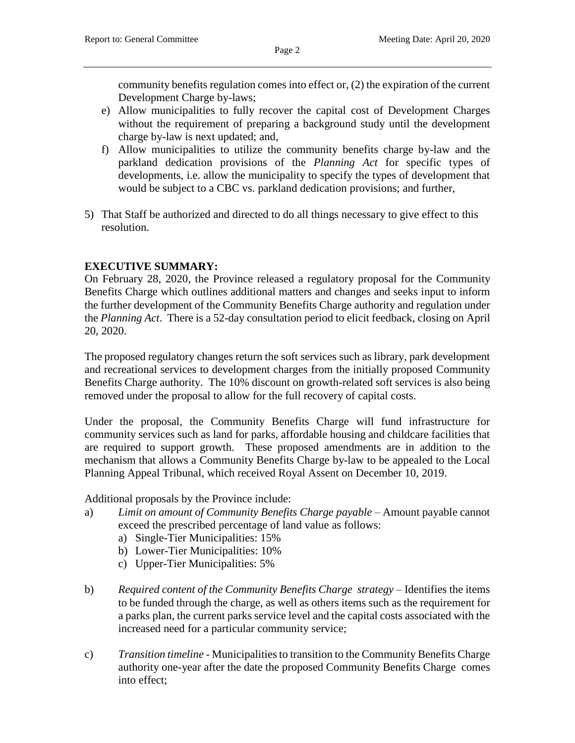community benefits regulation comes into effect or, (2) the expiration of the current Development Charge by-laws;

- e) Allow municipalities to fully recover the capital cost of Development Charges without the requirement of preparing a background study until the development charge by-law is next updated; and,
- f) Allow municipalities to utilize the community benefits charge by-law and the parkland dedication provisions of the *Planning Act* for specific types of developments, i.e. allow the municipality to specify the types of development that would be subject to a CBC vs. parkland dedication provisions; and further,
- 5) That Staff be authorized and directed to do all things necessary to give effect to this resolution.

## **EXECUTIVE SUMMARY:**

On February 28, 2020, the Province released a regulatory proposal for the Community Benefits Charge which outlines additional matters and changes and seeks input to inform the further development of the Community Benefits Charge authority and regulation under the *Planning Act*. There is a 52-day consultation period to elicit feedback, closing on April 20, 2020.

The proposed regulatory changes return the soft services such as library, park development and recreational services to development charges from the initially proposed Community Benefits Charge authority. The 10% discount on growth-related soft services is also being removed under the proposal to allow for the full recovery of capital costs.

Under the proposal, the Community Benefits Charge will fund infrastructure for community services such as land for parks, affordable housing and childcare facilities that are required to support growth. These proposed amendments are in addition to the mechanism that allows a Community Benefits Charge by-law to be appealed to the Local Planning Appeal Tribunal, which received Royal Assent on December 10, 2019.

Additional proposals by the Province include:

- a) *Limit on amount of Community Benefits Charge payable* Amount payable cannot exceed the prescribed percentage of land value as follows:
	- a) Single-Tier Municipalities: 15%
	- b) Lower-Tier Municipalities: 10%
	- c) Upper-Tier Municipalities: 5%
- b) *Required content of the Community Benefits Charge strategy* Identifies the items to be funded through the charge, as well as others items such as the requirement for a parks plan, the current parks service level and the capital costs associated with the increased need for a particular community service;
- c) *Transition timeline* Municipalities to transition to the Community Benefits Charge authority one-year after the date the proposed Community Benefits Charge comes into effect;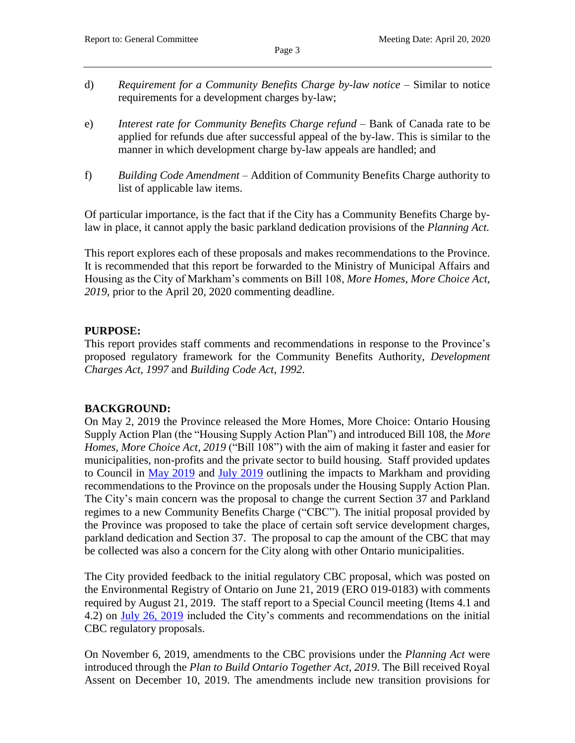- d) *Requirement for a Community Benefits Charge by-law notice* Similar to notice requirements for a development charges by-law;
- e) *Interest rate for Community Benefits Charge refund* Bank of Canada rate to be applied for refunds due after successful appeal of the by-law. This is similar to the manner in which development charge by-law appeals are handled; and
- f) *Building Code Amendment* Addition of Community Benefits Charge authority to list of applicable law items.

Of particular importance, is the fact that if the City has a Community Benefits Charge bylaw in place, it cannot apply the basic parkland dedication provisions of the *Planning Act.*

This report explores each of these proposals and makes recommendations to the Province. It is recommended that this report be forwarded to the Ministry of Municipal Affairs and Housing as the City of Markham's comments on Bill 108, *More Homes, More Choice Act, 2019*, prior to the April 20, 2020 commenting deadline.

## **PURPOSE:**

This report provides staff comments and recommendations in response to the Province's proposed regulatory framework for the Community Benefits Authority, *Development Charges Act, 1997* and *Building Code Act, 1992*.

## **BACKGROUND:**

On May 2, 2019 the Province released the More Homes, More Choice: Ontario Housing Supply Action Plan (the "Housing Supply Action Plan") and introduced Bill 108, the *More Homes, More Choice Act, 2019* ("Bill 108") with the aim of making it faster and easier for municipalities, non-profits and the private sector to build housing. Staff provided updates to Council in [May 2019](https://pub-markham.escribemeetings.com/Meeting.aspx?Id=c453e350-4e7f-4bc6-a89e-c7f0d07a7379&Agenda=PostMinutes&lang=English) and [July 2019](https://pub-markham.escribemeetings.com/Meeting.aspx?Id=a3669025-5f6f-4dca-a178-b254d4e04e40&Agenda=PostMinutes&lang=English) outlining the impacts to Markham and providing recommendations to the Province on the proposals under the Housing Supply Action Plan. The City's main concern was the proposal to change the current Section 37 and Parkland regimes to a new Community Benefits Charge ("CBC"). The initial proposal provided by the Province was proposed to take the place of certain soft service development charges, parkland dedication and Section 37. The proposal to cap the amount of the CBC that may be collected was also a concern for the City along with other Ontario municipalities.

The City provided feedback to the initial regulatory CBC proposal, which was posted on the Environmental Registry of Ontario on June 21, 2019 (ERO 019-0183) with comments required by August 21, 2019. The staff report to a Special Council meeting (Items 4.1 and 4.2) on [July 26, 2019](https://pub-markham.escribemeetings.com/Meeting.aspx?Id=a3669025-5f6f-4dca-a178-b254d4e04e40&Agenda=PostMinutes&lang=English) included the City's comments and recommendations on the initial CBC regulatory proposals.

On November 6, 2019, amendments to the CBC provisions under the *Planning Act* were introduced through the *Plan to Build Ontario Together Act, 2019*. The Bill received Royal Assent on December 10, 2019. The amendments include new transition provisions for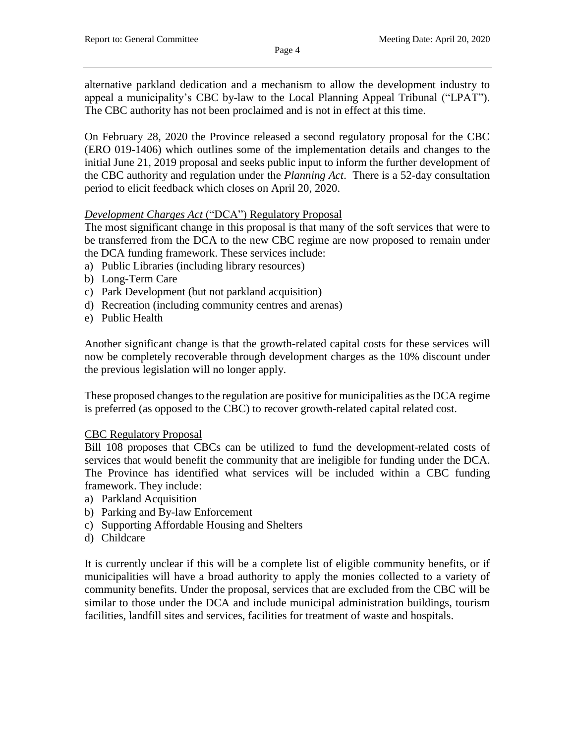alternative parkland dedication and a mechanism to allow the development industry to appeal a municipality's CBC by-law to the Local Planning Appeal Tribunal ("LPAT"). The CBC authority has not been proclaimed and is not in effect at this time.

Page 4

On February 28, 2020 the Province released a second regulatory proposal for the CBC (ERO 019-1406) which outlines some of the implementation details and changes to the initial June 21, 2019 proposal and seeks public input to inform the further development of the CBC authority and regulation under the *Planning Act*. There is a 52-day consultation period to elicit feedback which closes on April 20, 2020.

## *Development Charges Act* ("DCA") Regulatory Proposal

The most significant change in this proposal is that many of the soft services that were to be transferred from the DCA to the new CBC regime are now proposed to remain under the DCA funding framework. These services include:

- a) Public Libraries (including library resources)
- b) Long-Term Care
- c) Park Development (but not parkland acquisition)
- d) Recreation (including community centres and arenas)
- e) Public Health

Another significant change is that the growth-related capital costs for these services will now be completely recoverable through development charges as the 10% discount under the previous legislation will no longer apply.

These proposed changes to the regulation are positive for municipalities as the DCA regime is preferred (as opposed to the CBC) to recover growth-related capital related cost.

#### CBC Regulatory Proposal

Bill 108 proposes that CBCs can be utilized to fund the development-related costs of services that would benefit the community that are ineligible for funding under the DCA. The Province has identified what services will be included within a CBC funding framework. They include:

- a) Parkland Acquisition
- b) Parking and By-law Enforcement
- c) Supporting Affordable Housing and Shelters
- d) Childcare

It is currently unclear if this will be a complete list of eligible community benefits, or if municipalities will have a broad authority to apply the monies collected to a variety of community benefits. Under the proposal, services that are excluded from the CBC will be similar to those under the DCA and include municipal administration buildings, tourism facilities, landfill sites and services, facilities for treatment of waste and hospitals.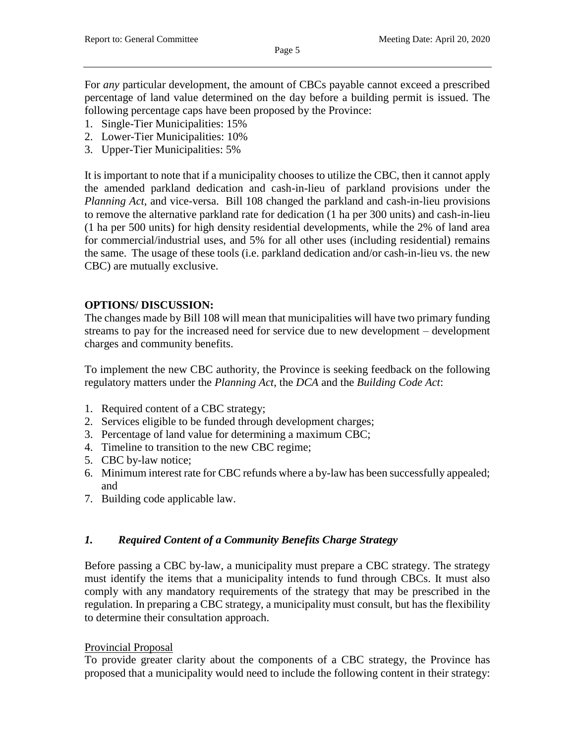For *any* particular development, the amount of CBCs payable cannot exceed a prescribed percentage of land value determined on the day before a building permit is issued. The following percentage caps have been proposed by the Province:

- 1. Single-Tier Municipalities: 15%
- 2. Lower-Tier Municipalities: 10%
- 3. Upper-Tier Municipalities: 5%

It is important to note that if a municipality chooses to utilize the CBC, then it cannot apply the amended parkland dedication and cash-in-lieu of parkland provisions under the *Planning Act,* and vice-versa. Bill 108 changed the parkland and cash-in-lieu provisions to remove the alternative parkland rate for dedication (1 ha per 300 units) and cash-in-lieu (1 ha per 500 units) for high density residential developments, while the 2% of land area for commercial/industrial uses, and 5% for all other uses (including residential) remains the same. The usage of these tools (i.e. parkland dedication and/or cash-in-lieu vs. the new CBC) are mutually exclusive.

## **OPTIONS/ DISCUSSION:**

The changes made by Bill 108 will mean that municipalities will have two primary funding streams to pay for the increased need for service due to new development – development charges and community benefits.

To implement the new CBC authority, the Province is seeking feedback on the following regulatory matters under the *Planning Act*, the *DCA* and the *Building Code Act*:

- 1. Required content of a CBC strategy;
- 2. Services eligible to be funded through development charges;
- 3. Percentage of land value for determining a maximum CBC;
- 4. Timeline to transition to the new CBC regime;
- 5. CBC by-law notice;
- 6. Minimum interest rate for CBC refunds where a by-law has been successfully appealed; and
- 7. Building code applicable law.

## *1. Required Content of a Community Benefits Charge Strategy*

Before passing a CBC by-law, a municipality must prepare a CBC strategy. The strategy must identify the items that a municipality intends to fund through CBCs. It must also comply with any mandatory requirements of the strategy that may be prescribed in the regulation. In preparing a CBC strategy, a municipality must consult, but has the flexibility to determine their consultation approach.

## Provincial Proposal

To provide greater clarity about the components of a CBC strategy, the Province has proposed that a municipality would need to include the following content in their strategy: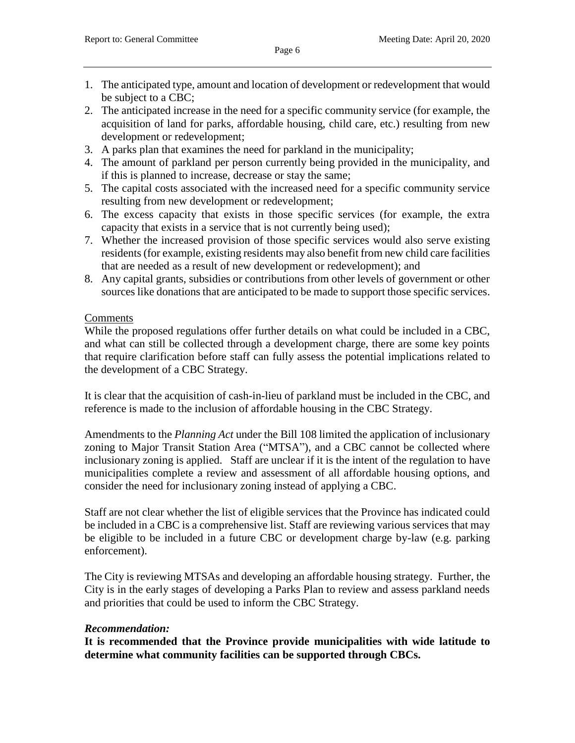- 1. The anticipated type, amount and location of development or redevelopment that would be subject to a CBC;
- 2. The anticipated increase in the need for a specific community service (for example, the acquisition of land for parks, affordable housing, child care, etc.) resulting from new development or redevelopment;
- 3. A parks plan that examines the need for parkland in the municipality;
- 4. The amount of parkland per person currently being provided in the municipality, and if this is planned to increase, decrease or stay the same;
- 5. The capital costs associated with the increased need for a specific community service resulting from new development or redevelopment;
- 6. The excess capacity that exists in those specific services (for example, the extra capacity that exists in a service that is not currently being used);
- 7. Whether the increased provision of those specific services would also serve existing residents (for example, existing residents may also benefit from new child care facilities that are needed as a result of new development or redevelopment); and
- 8. Any capital grants, subsidies or contributions from other levels of government or other sources like donations that are anticipated to be made to support those specific services.

## **Comments**

While the proposed regulations offer further details on what could be included in a CBC, and what can still be collected through a development charge, there are some key points that require clarification before staff can fully assess the potential implications related to the development of a CBC Strategy.

It is clear that the acquisition of cash-in-lieu of parkland must be included in the CBC, and reference is made to the inclusion of affordable housing in the CBC Strategy.

Amendments to the *Planning Act* under the Bill 108 limited the application of inclusionary zoning to Major Transit Station Area ("MTSA"), and a CBC cannot be collected where inclusionary zoning is applied. Staff are unclear if it is the intent of the regulation to have municipalities complete a review and assessment of all affordable housing options, and consider the need for inclusionary zoning instead of applying a CBC.

Staff are not clear whether the list of eligible services that the Province has indicated could be included in a CBC is a comprehensive list. Staff are reviewing various services that may be eligible to be included in a future CBC or development charge by-law (e.g. parking enforcement).

The City is reviewing MTSAs and developing an affordable housing strategy. Further, the City is in the early stages of developing a Parks Plan to review and assess parkland needs and priorities that could be used to inform the CBC Strategy.

# *Recommendation:*

**It is recommended that the Province provide municipalities with wide latitude to determine what community facilities can be supported through CBCs.**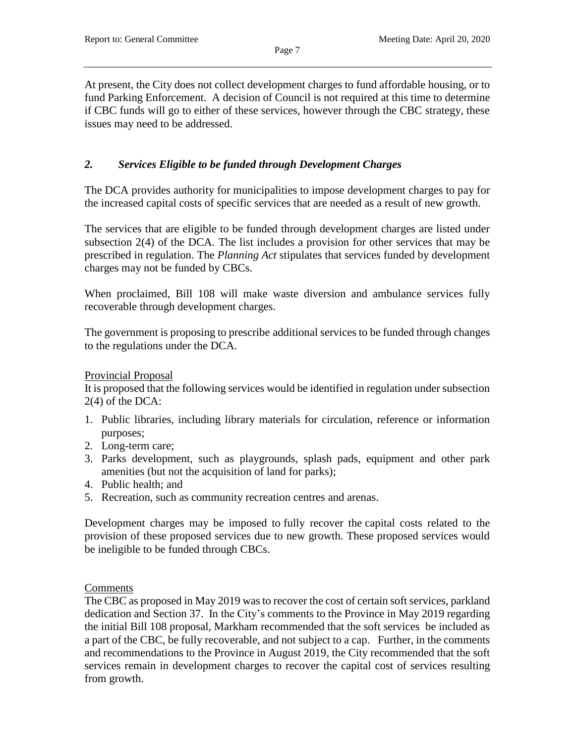At present, the City does not collect development charges to fund affordable housing, or to fund Parking Enforcement. A decision of Council is not required at this time to determine if CBC funds will go to either of these services, however through the CBC strategy, these issues may need to be addressed.

Page 7

# *2. Services Eligible to be funded through Development Charges*

The DCA provides authority for municipalities to impose development charges to pay for the increased capital costs of specific services that are needed as a result of new growth.

The services that are eligible to be funded through development charges are listed under subsection 2(4) of the DCA. The list includes a provision for other services that may be prescribed in regulation. The *Planning Act* stipulates that services funded by development charges may not be funded by CBCs.

When proclaimed, Bill 108 will make waste diversion and ambulance services fully recoverable through development charges.

The government is proposing to prescribe additional services to be funded through changes to the regulations under the DCA.

#### Provincial Proposal

It is proposed that the following services would be identified in regulation under subsection 2(4) of the DCA:

- 1. Public libraries, including library materials for circulation, reference or information purposes;
- 2. Long-term care;
- 3. Parks development, such as playgrounds, splash pads, equipment and other park amenities (but not the acquisition of land for parks);
- 4. Public health; and
- 5. Recreation, such as community recreation centres and arenas.

Development charges may be imposed to fully recover the capital costs related to the provision of these proposed services due to new growth. These proposed services would be ineligible to be funded through CBCs.

## **Comments**

The CBC as proposed in May 2019 was to recover the cost of certain soft services, parkland dedication and Section 37. In the City's comments to the Province in May 2019 regarding the initial Bill 108 proposal, Markham recommended that the soft services be included as a part of the CBC, be fully recoverable, and not subject to a cap. Further, in the comments and recommendations to the Province in August 2019, the City recommended that the soft services remain in development charges to recover the capital cost of services resulting from growth.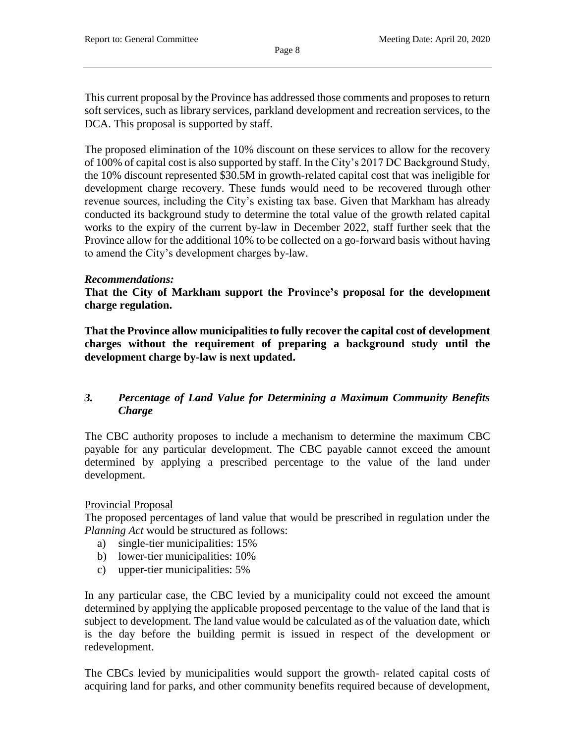This current proposal by the Province has addressed those comments and proposes to return soft services, such as library services, parkland development and recreation services, to the DCA. This proposal is supported by staff.

The proposed elimination of the 10% discount on these services to allow for the recovery of 100% of capital cost is also supported by staff. In the City's 2017 DC Background Study, the 10% discount represented \$30.5M in growth-related capital cost that was ineligible for development charge recovery. These funds would need to be recovered through other revenue sources, including the City's existing tax base. Given that Markham has already conducted its background study to determine the total value of the growth related capital works to the expiry of the current by-law in December 2022, staff further seek that the Province allow for the additional 10% to be collected on a go-forward basis without having to amend the City's development charges by-law.

## *Recommendations:*

**That the City of Markham support the Province's proposal for the development charge regulation.**

**That the Province allow municipalities to fully recover the capital cost of development charges without the requirement of preparing a background study until the development charge by-law is next updated.** 

# *3. Percentage of Land Value for Determining a Maximum Community Benefits Charge*

The CBC authority proposes to include a mechanism to determine the maximum CBC payable for any particular development. The CBC payable cannot exceed the amount determined by applying a prescribed percentage to the value of the land under development.

## Provincial Proposal

The proposed percentages of land value that would be prescribed in regulation under the *Planning Act* would be structured as follows:

- a) single-tier municipalities: 15%
- b) lower-tier municipalities: 10%
- c) upper-tier municipalities: 5%

In any particular case, the CBC levied by a municipality could not exceed the amount determined by applying the applicable proposed percentage to the value of the land that is subject to development. The land value would be calculated as of the valuation date, which is the day before the building permit is issued in respect of the development or redevelopment.

The CBCs levied by municipalities would support the growth- related capital costs of acquiring land for parks, and other community benefits required because of development,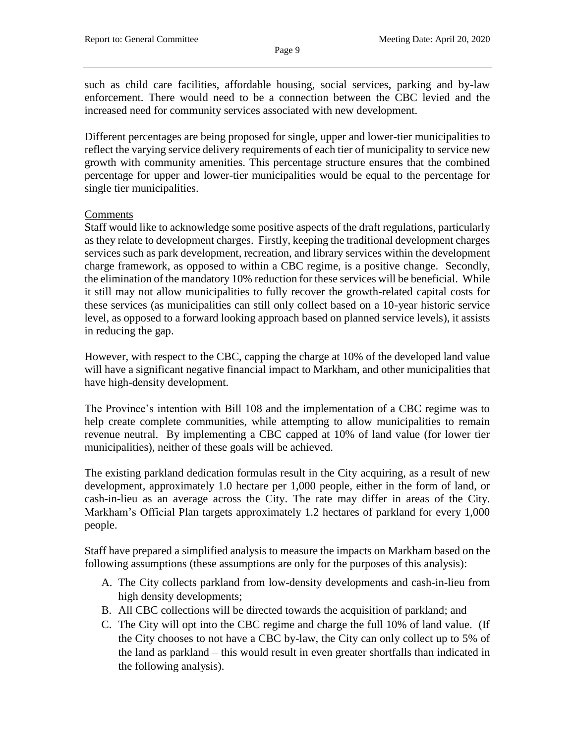such as child care facilities, affordable housing, social services, parking and by-law enforcement. There would need to be a connection between the CBC levied and the increased need for community services associated with new development.

Different percentages are being proposed for single, upper and lower-tier municipalities to reflect the varying service delivery requirements of each tier of municipality to service new growth with community amenities. This percentage structure ensures that the combined percentage for upper and lower-tier municipalities would be equal to the percentage for single tier municipalities.

# **Comments**

Staff would like to acknowledge some positive aspects of the draft regulations, particularly as they relate to development charges. Firstly, keeping the traditional development charges services such as park development, recreation, and library services within the development charge framework, as opposed to within a CBC regime, is a positive change. Secondly, the elimination of the mandatory 10% reduction for these services will be beneficial. While it still may not allow municipalities to fully recover the growth-related capital costs for these services (as municipalities can still only collect based on a 10-year historic service level, as opposed to a forward looking approach based on planned service levels), it assists in reducing the gap.

However, with respect to the CBC, capping the charge at 10% of the developed land value will have a significant negative financial impact to Markham, and other municipalities that have high-density development.

The Province's intention with Bill 108 and the implementation of a CBC regime was to help create complete communities, while attempting to allow municipalities to remain revenue neutral. By implementing a CBC capped at 10% of land value (for lower tier municipalities), neither of these goals will be achieved.

The existing parkland dedication formulas result in the City acquiring, as a result of new development, approximately 1.0 hectare per 1,000 people, either in the form of land, or cash-in-lieu as an average across the City. The rate may differ in areas of the City. Markham's Official Plan targets approximately 1.2 hectares of parkland for every 1,000 people.

Staff have prepared a simplified analysis to measure the impacts on Markham based on the following assumptions (these assumptions are only for the purposes of this analysis):

- A. The City collects parkland from low-density developments and cash-in-lieu from high density developments;
- B. All CBC collections will be directed towards the acquisition of parkland; and
- C. The City will opt into the CBC regime and charge the full 10% of land value. (If the City chooses to not have a CBC by-law, the City can only collect up to 5% of the land as parkland – this would result in even greater shortfalls than indicated in the following analysis).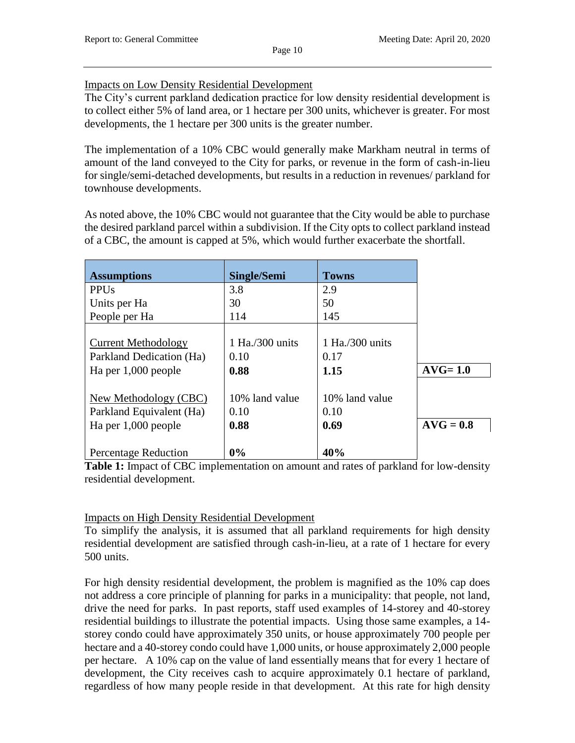# Impacts on Low Density Residential Development

The City's current parkland dedication practice for low density residential development is to collect either 5% of land area, or 1 hectare per 300 units, whichever is greater. For most developments, the 1 hectare per 300 units is the greater number.

The implementation of a 10% CBC would generally make Markham neutral in terms of amount of the land conveyed to the City for parks, or revenue in the form of cash-in-lieu for single/semi-detached developments, but results in a reduction in revenues/ parkland for townhouse developments.

As noted above, the 10% CBC would not guarantee that the City would be able to purchase the desired parkland parcel within a subdivision. If the City opts to collect parkland instead of a CBC, the amount is capped at 5%, which would further exacerbate the shortfall.

| <b>Assumptions</b>          | <b>Single/Semi</b> | <b>Towns</b>       |             |
|-----------------------------|--------------------|--------------------|-------------|
| <b>PPUs</b>                 | 3.8                | 2.9                |             |
| Units per Ha                | 30                 | 50                 |             |
| People per Ha               | 114                | 145                |             |
|                             |                    |                    |             |
| <b>Current Methodology</b>  | $1$ Ha./300 units  | 1 Ha. $/300$ units |             |
| Parkland Dedication (Ha)    | 0.10               | 0.17               |             |
| Ha per 1,000 people         | 0.88               | 1.15               | $AVG=1.0$   |
|                             |                    |                    |             |
| New Methodology (CBC)       | 10% land value     | 10% land value     |             |
| Parkland Equivalent (Ha)    | 0.10               | 0.10               |             |
| Ha per 1,000 people         | 0.88               | 0.69               | $AVG = 0.8$ |
|                             |                    |                    |             |
| <b>Percentage Reduction</b> | 0%                 | 40%                |             |

**Table 1:** Impact of CBC implementation on amount and rates of parkland for low-density residential development.

## Impacts on High Density Residential Development

To simplify the analysis, it is assumed that all parkland requirements for high density residential development are satisfied through cash-in-lieu, at a rate of 1 hectare for every 500 units.

For high density residential development, the problem is magnified as the 10% cap does not address a core principle of planning for parks in a municipality: that people, not land, drive the need for parks. In past reports, staff used examples of 14-storey and 40-storey residential buildings to illustrate the potential impacts. Using those same examples, a 14 storey condo could have approximately 350 units, or house approximately 700 people per hectare and a 40-storey condo could have 1,000 units, or house approximately 2,000 people per hectare. A 10% cap on the value of land essentially means that for every 1 hectare of development, the City receives cash to acquire approximately 0.1 hectare of parkland, regardless of how many people reside in that development. At this rate for high density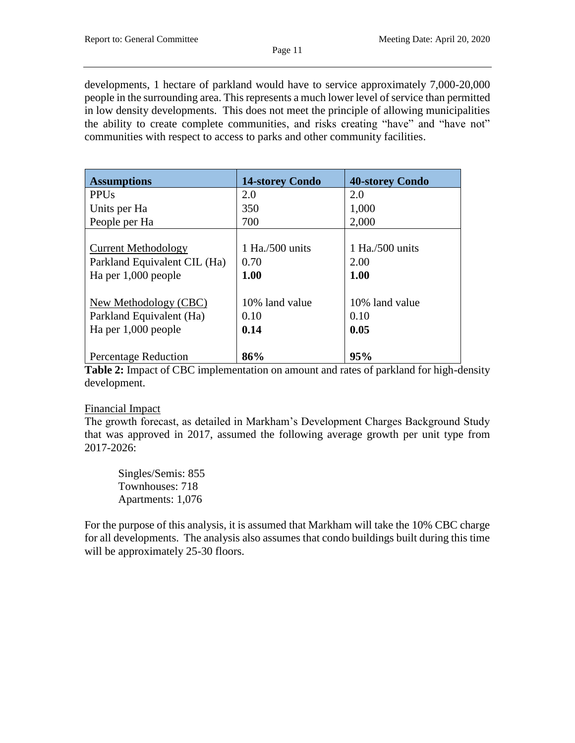developments, 1 hectare of parkland would have to service approximately 7,000-20,000 people in the surrounding area. This represents a much lower level of service than permitted in low density developments. This does not meet the principle of allowing municipalities the ability to create complete communities, and risks creating "have" and "have not" communities with respect to access to parks and other community facilities.

| <b>Assumptions</b>           | <b>14-storey Condo</b> | <b>40-storey Condo</b> |
|------------------------------|------------------------|------------------------|
| <b>PPUs</b>                  | 2.0                    | 2.0                    |
| Units per Ha                 | 350                    | 1,000                  |
| People per Ha                | 700                    | 2,000                  |
|                              |                        |                        |
| <b>Current Methodology</b>   | $1$ Ha./500 units      | 1 Ha./500 units        |
| Parkland Equivalent CIL (Ha) | 0.70                   | 2.00                   |
| Ha per 1,000 people          | 1.00                   | 1.00                   |
|                              |                        |                        |
| New Methodology (CBC)        | 10% land value         | 10% land value         |
| Parkland Equivalent (Ha)     | 0.10                   | 0.10                   |
| Ha per 1,000 people          | 0.14                   | 0.05                   |
| <b>Percentage Reduction</b>  | 86%                    | 95%                    |

**Table 2:** Impact of CBC implementation on amount and rates of parkland for high-density development.

#### Financial Impact

The growth forecast, as detailed in Markham's Development Charges Background Study that was approved in 2017, assumed the following average growth per unit type from 2017-2026:

Singles/Semis: 855 Townhouses: 718 Apartments: 1,076

For the purpose of this analysis, it is assumed that Markham will take the 10% CBC charge for all developments. The analysis also assumes that condo buildings built during this time will be approximately 25-30 floors.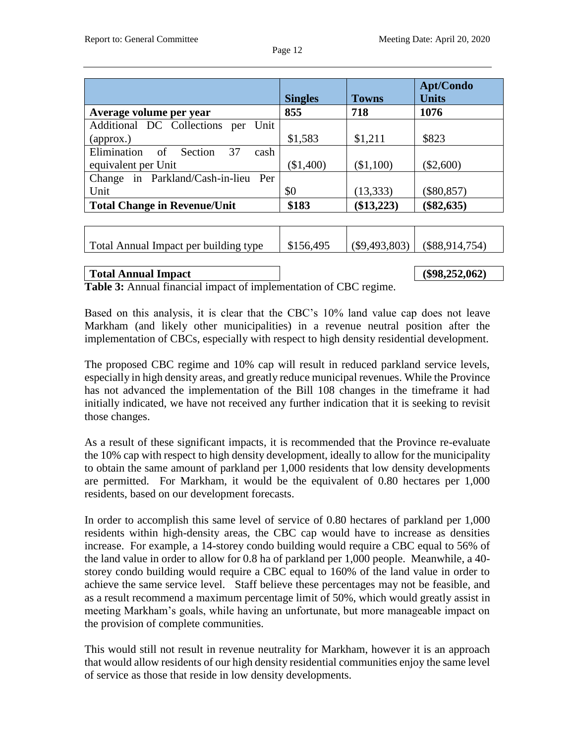|                                         | <b>Singles</b> | <b>Towns</b>    | <b>Apt/Condo</b><br><b>Units</b> |
|-----------------------------------------|----------------|-----------------|----------------------------------|
| Average volume per year                 | 855            | 718             | 1076                             |
| Additional DC Collections per<br>Unit   |                |                 |                                  |
| $\alpha$ (approx.)                      | \$1,583        | \$1,211         | \$823                            |
| Elimination<br>of Section<br>37<br>cash |                |                 |                                  |
| equivalent per Unit                     | (\$1,400)      | (\$1,100)       | $(\$2,600)$                      |
| Change in Parkland/Cash-in-lieu Per     |                |                 |                                  |
| Unit                                    | \$0            | (13, 333)       | $(\$80,857)$                     |
| <b>Total Change in Revenue/Unit</b>     | \$183          | $(\$13,223)$    | $(\$82,635)$                     |
|                                         |                |                 |                                  |
|                                         |                |                 |                                  |
| Total Annual Impact per building type   | \$156,495      | $(\$9,493,803)$ | $(\$88,914,754)$                 |
|                                         |                |                 |                                  |
| <b>Total Annual Impact</b>              |                |                 | $(\$98,252,062)$                 |

**Table 3:** Annual financial impact of implementation of CBC regime.

Based on this analysis, it is clear that the CBC's 10% land value cap does not leave Markham (and likely other municipalities) in a revenue neutral position after the implementation of CBCs, especially with respect to high density residential development.

The proposed CBC regime and 10% cap will result in reduced parkland service levels, especially in high density areas, and greatly reduce municipal revenues. While the Province has not advanced the implementation of the Bill 108 changes in the timeframe it had initially indicated, we have not received any further indication that it is seeking to revisit those changes.

As a result of these significant impacts, it is recommended that the Province re-evaluate the 10% cap with respect to high density development, ideally to allow for the municipality to obtain the same amount of parkland per 1,000 residents that low density developments are permitted. For Markham, it would be the equivalent of 0.80 hectares per 1,000 residents, based on our development forecasts.

In order to accomplish this same level of service of 0.80 hectares of parkland per 1,000 residents within high-density areas, the CBC cap would have to increase as densities increase. For example, a 14-storey condo building would require a CBC equal to 56% of the land value in order to allow for 0.8 ha of parkland per 1,000 people. Meanwhile, a 40 storey condo building would require a CBC equal to 160% of the land value in order to achieve the same service level. Staff believe these percentages may not be feasible, and as a result recommend a maximum percentage limit of 50%, which would greatly assist in meeting Markham's goals, while having an unfortunate, but more manageable impact on the provision of complete communities.

This would still not result in revenue neutrality for Markham, however it is an approach that would allow residents of our high density residential communities enjoy the same level of service as those that reside in low density developments.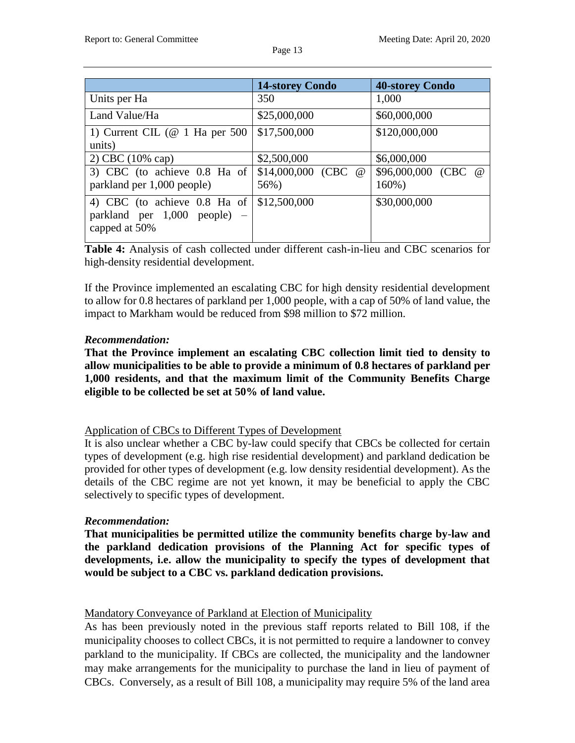|                                                                                 | <b>14-storey Condo</b>        | <b>40-storey Condo</b>           |
|---------------------------------------------------------------------------------|-------------------------------|----------------------------------|
| Units per Ha                                                                    | 350                           | 1,000                            |
| Land Value/Ha                                                                   | \$25,000,000                  | \$60,000,000                     |
| 1) Current CIL ( $@$ 1 Ha per 500<br>units)                                     | \$17,500,000                  | \$120,000,000                    |
| 2) CBC $(10\% \text{ cap})$                                                     | \$2,500,000                   | \$6,000,000                      |
| 3) CBC (to achieve 0.8 Ha of<br>parkland per 1,000 people)                      | \$14,000,000 (CBC $@$<br>56%) | \$96,000,000 (CBC @<br>$160\%$ ) |
| 4) CBC (to achieve 0.8 Ha of<br>parkland per $1,000$ people) –<br>capped at 50% | \$12,500,000                  | \$30,000,000                     |

**Table 4:** Analysis of cash collected under different cash-in-lieu and CBC scenarios for high-density residential development.

If the Province implemented an escalating CBC for high density residential development to allow for 0.8 hectares of parkland per 1,000 people, with a cap of 50% of land value, the impact to Markham would be reduced from \$98 million to \$72 million.

# *Recommendation:*

**That the Province implement an escalating CBC collection limit tied to density to allow municipalities to be able to provide a minimum of 0.8 hectares of parkland per 1,000 residents, and that the maximum limit of the Community Benefits Charge eligible to be collected be set at 50% of land value.**

## Application of CBCs to Different Types of Development

It is also unclear whether a CBC by-law could specify that CBCs be collected for certain types of development (e.g. high rise residential development) and parkland dedication be provided for other types of development (e.g. low density residential development). As the details of the CBC regime are not yet known, it may be beneficial to apply the CBC selectively to specific types of development.

## *Recommendation:*

**That municipalities be permitted utilize the community benefits charge by-law and the parkland dedication provisions of the Planning Act for specific types of developments, i.e. allow the municipality to specify the types of development that would be subject to a CBC vs. parkland dedication provisions.**

## Mandatory Conveyance of Parkland at Election of Municipality

As has been previously noted in the previous staff reports related to Bill 108, if the municipality chooses to collect CBCs, it is not permitted to require a landowner to convey parkland to the municipality. If CBCs are collected, the municipality and the landowner may make arrangements for the municipality to purchase the land in lieu of payment of CBCs. Conversely, as a result of Bill 108, a municipality may require 5% of the land area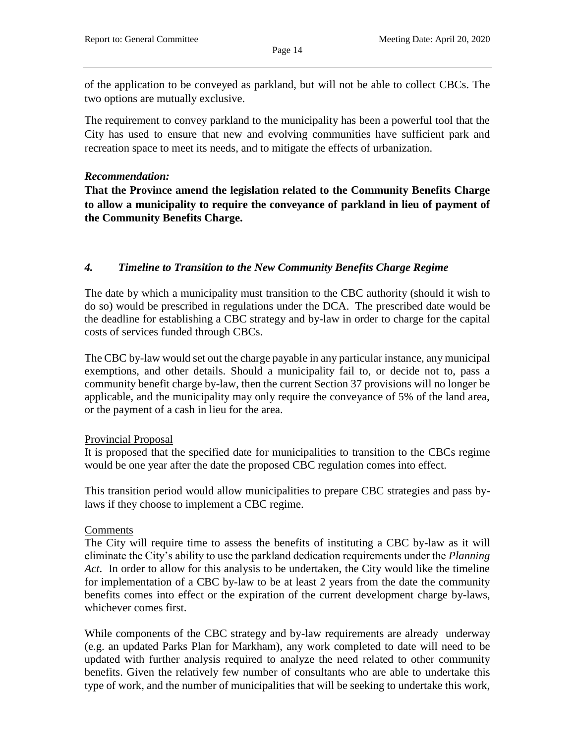of the application to be conveyed as parkland, but will not be able to collect CBCs. The two options are mutually exclusive.

The requirement to convey parkland to the municipality has been a powerful tool that the City has used to ensure that new and evolving communities have sufficient park and recreation space to meet its needs, and to mitigate the effects of urbanization.

#### *Recommendation:*

**That the Province amend the legislation related to the Community Benefits Charge to allow a municipality to require the conveyance of parkland in lieu of payment of the Community Benefits Charge.**

# *4. Timeline to Transition to the New Community Benefits Charge Regime*

The date by which a municipality must transition to the CBC authority (should it wish to do so) would be prescribed in regulations under the DCA. The prescribed date would be the deadline for establishing a CBC strategy and by-law in order to charge for the capital costs of services funded through CBCs.

The CBC by-law would set out the charge payable in any particular instance, any municipal exemptions, and other details. Should a municipality fail to, or decide not to, pass a community benefit charge by-law, then the current Section 37 provisions will no longer be applicable, and the municipality may only require the conveyance of 5% of the land area, or the payment of a cash in lieu for the area.

## Provincial Proposal

It is proposed that the specified date for municipalities to transition to the CBCs regime would be one year after the date the proposed CBC regulation comes into effect.

This transition period would allow municipalities to prepare CBC strategies and pass bylaws if they choose to implement a CBC regime.

## Comments

The City will require time to assess the benefits of instituting a CBC by-law as it will eliminate the City's ability to use the parkland dedication requirements under the *Planning Act*. In order to allow for this analysis to be undertaken, the City would like the timeline for implementation of a CBC by-law to be at least 2 years from the date the community benefits comes into effect or the expiration of the current development charge by-laws, whichever comes first.

While components of the CBC strategy and by-law requirements are already underway (e.g. an updated Parks Plan for Markham), any work completed to date will need to be updated with further analysis required to analyze the need related to other community benefits. Given the relatively few number of consultants who are able to undertake this type of work, and the number of municipalities that will be seeking to undertake this work,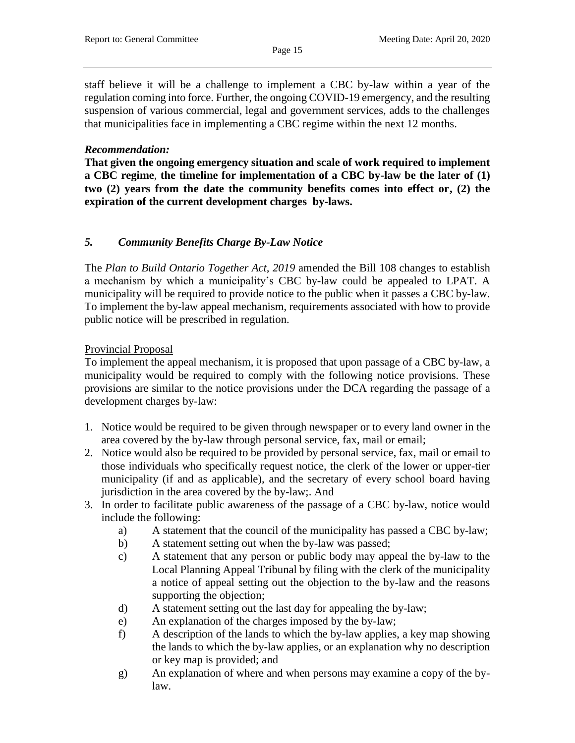staff believe it will be a challenge to implement a CBC by-law within a year of the regulation coming into force. Further, the ongoing COVID-19 emergency, and the resulting suspension of various commercial, legal and government services, adds to the challenges that municipalities face in implementing a CBC regime within the next 12 months.

#### *Recommendation:*

**That given the ongoing emergency situation and scale of work required to implement a CBC regime**, **the timeline for implementation of a CBC by-law be the later of (1) two (2) years from the date the community benefits comes into effect or, (2) the expiration of the current development charges by-laws.**

## *5. Community Benefits Charge By-Law Notice*

The *Plan to Build Ontario Together Act, 2019* amended the Bill 108 changes to establish a mechanism by which a municipality's CBC by-law could be appealed to LPAT. A municipality will be required to provide notice to the public when it passes a CBC by-law. To implement the by-law appeal mechanism, requirements associated with how to provide public notice will be prescribed in regulation.

#### Provincial Proposal

To implement the appeal mechanism, it is proposed that upon passage of a CBC by-law, a municipality would be required to comply with the following notice provisions. These provisions are similar to the notice provisions under the DCA regarding the passage of a development charges by-law:

- 1. Notice would be required to be given through newspaper or to every land owner in the area covered by the by-law through personal service, fax, mail or email;
- 2. Notice would also be required to be provided by personal service, fax, mail or email to those individuals who specifically request notice, the clerk of the lower or upper-tier municipality (if and as applicable), and the secretary of every school board having jurisdiction in the area covered by the by-law;. And
- 3. In order to facilitate public awareness of the passage of a CBC by-law, notice would include the following:
	- a) A statement that the council of the municipality has passed a CBC by-law;
	- b) A statement setting out when the by-law was passed;
	- c) A statement that any person or public body may appeal the by-law to the Local Planning Appeal Tribunal by filing with the clerk of the municipality a notice of appeal setting out the objection to the by-law and the reasons supporting the objection;
	- d) A statement setting out the last day for appealing the by-law;
	- e) An explanation of the charges imposed by the by-law;
	- f) A description of the lands to which the by-law applies, a key map showing the lands to which the by-law applies, or an explanation why no description or key map is provided; and
	- g) An explanation of where and when persons may examine a copy of the bylaw.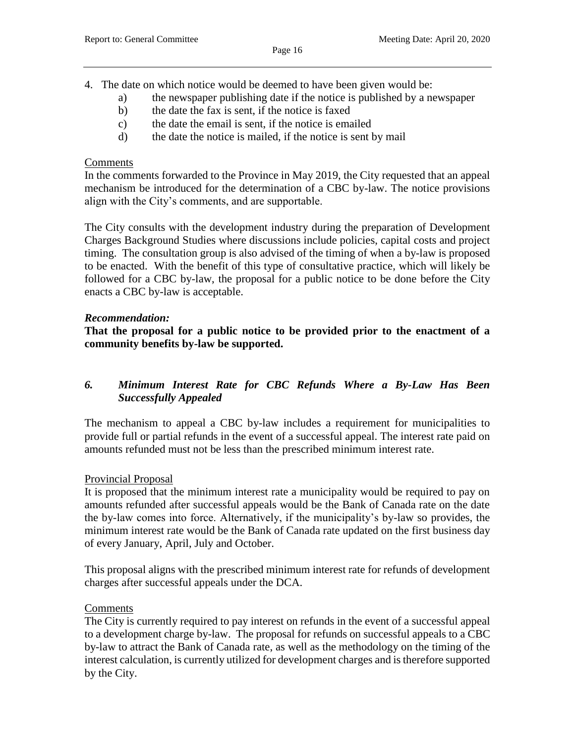- 4. The date on which notice would be deemed to have been given would be:
	- a) the newspaper publishing date if the notice is published by a newspaper
	- b) the date the fax is sent, if the notice is faxed
	- c) the date the email is sent, if the notice is emailed
	- d) the date the notice is mailed, if the notice is sent by mail

#### Comments

In the comments forwarded to the Province in May 2019, the City requested that an appeal mechanism be introduced for the determination of a CBC by-law. The notice provisions align with the City's comments, and are supportable.

The City consults with the development industry during the preparation of Development Charges Background Studies where discussions include policies, capital costs and project timing. The consultation group is also advised of the timing of when a by-law is proposed to be enacted. With the benefit of this type of consultative practice, which will likely be followed for a CBC by-law, the proposal for a public notice to be done before the City enacts a CBC by-law is acceptable.

## *Recommendation:*

**That the proposal for a public notice to be provided prior to the enactment of a community benefits by-law be supported.**

# *6. Minimum Interest Rate for CBC Refunds Where a By-Law Has Been Successfully Appealed*

The mechanism to appeal a CBC by-law includes a requirement for municipalities to provide full or partial refunds in the event of a successful appeal. The interest rate paid on amounts refunded must not be less than the prescribed minimum interest rate.

## Provincial Proposal

It is proposed that the minimum interest rate a municipality would be required to pay on amounts refunded after successful appeals would be the Bank of Canada rate on the date the by-law comes into force. Alternatively, if the municipality's by-law so provides, the minimum interest rate would be the Bank of Canada rate updated on the first business day of every January, April, July and October.

This proposal aligns with the prescribed minimum interest rate for refunds of development charges after successful appeals under the DCA.

## **Comments**

The City is currently required to pay interest on refunds in the event of a successful appeal to a development charge by-law. The proposal for refunds on successful appeals to a CBC by-law to attract the Bank of Canada rate, as well as the methodology on the timing of the interest calculation, is currently utilized for development charges and is therefore supported by the City.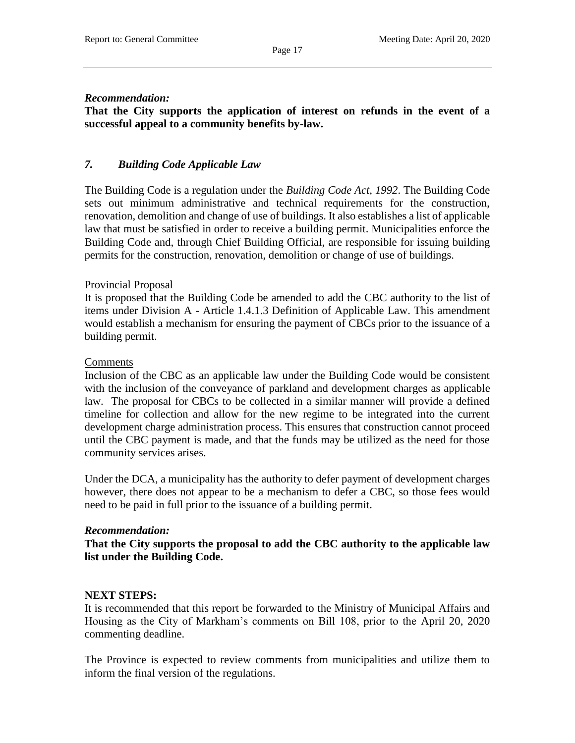#### Page 17

#### *Recommendation:*

**That the City supports the application of interest on refunds in the event of a successful appeal to a community benefits by-law.**

## *7. Building Code Applicable Law*

The Building Code is a regulation under the *Building Code Act, 1992*. The Building Code sets out minimum administrative and technical requirements for the construction, renovation, demolition and change of use of buildings. It also establishes a list of applicable law that must be satisfied in order to receive a building permit. Municipalities enforce the Building Code and, through Chief Building Official, are responsible for issuing building permits for the construction, renovation, demolition or change of use of buildings.

#### Provincial Proposal

It is proposed that the Building Code be amended to add the CBC authority to the list of items under Division A - Article 1.4.1.3 Definition of Applicable Law. This amendment would establish a mechanism for ensuring the payment of CBCs prior to the issuance of a building permit.

#### Comments

Inclusion of the CBC as an applicable law under the Building Code would be consistent with the inclusion of the conveyance of parkland and development charges as applicable law. The proposal for CBCs to be collected in a similar manner will provide a defined timeline for collection and allow for the new regime to be integrated into the current development charge administration process. This ensures that construction cannot proceed until the CBC payment is made, and that the funds may be utilized as the need for those community services arises.

Under the DCA, a municipality has the authority to defer payment of development charges however, there does not appear to be a mechanism to defer a CBC, so those fees would need to be paid in full prior to the issuance of a building permit.

#### *Recommendation:*

**That the City supports the proposal to add the CBC authority to the applicable law list under the Building Code.** 

## **NEXT STEPS:**

It is recommended that this report be forwarded to the Ministry of Municipal Affairs and Housing as the City of Markham's comments on Bill 108, prior to the April 20, 2020 commenting deadline.

The Province is expected to review comments from municipalities and utilize them to inform the final version of the regulations.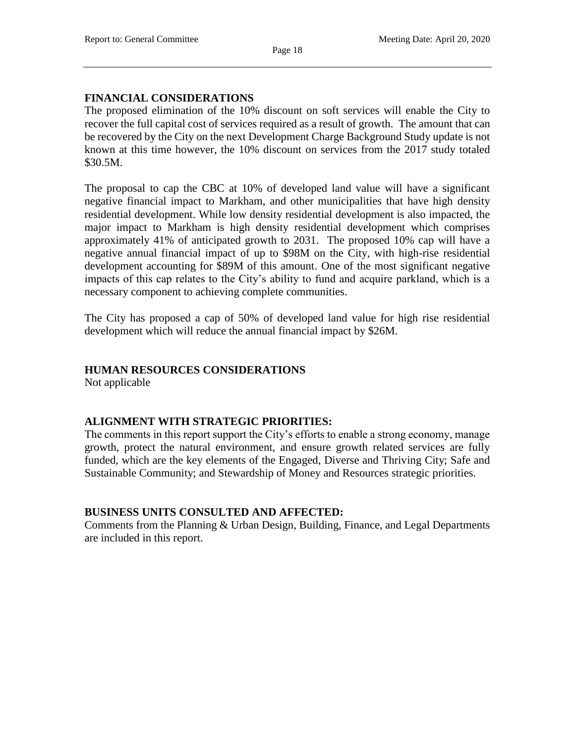# **FINANCIAL CONSIDERATIONS**

The proposed elimination of the 10% discount on soft services will enable the City to recover the full capital cost of services required as a result of growth. The amount that can be recovered by the City on the next Development Charge Background Study update is not known at this time however, the 10% discount on services from the 2017 study totaled \$30.5M.

The proposal to cap the CBC at 10% of developed land value will have a significant negative financial impact to Markham, and other municipalities that have high density residential development. While low density residential development is also impacted, the major impact to Markham is high density residential development which comprises approximately 41% of anticipated growth to 2031. The proposed 10% cap will have a negative annual financial impact of up to \$98M on the City, with high-rise residential development accounting for \$89M of this amount. One of the most significant negative impacts of this cap relates to the City's ability to fund and acquire parkland, which is a necessary component to achieving complete communities.

The City has proposed a cap of 50% of developed land value for high rise residential development which will reduce the annual financial impact by \$26M.

## **HUMAN RESOURCES CONSIDERATIONS**

Not applicable

## **ALIGNMENT WITH STRATEGIC PRIORITIES:**

The comments in this report support the City's efforts to enable a strong economy, manage growth, protect the natural environment, and ensure growth related services are fully funded, which are the key elements of the Engaged, Diverse and Thriving City; Safe and Sustainable Community; and Stewardship of Money and Resources strategic priorities.

## **BUSINESS UNITS CONSULTED AND AFFECTED:**

Comments from the Planning & Urban Design, Building, Finance, and Legal Departments are included in this report.